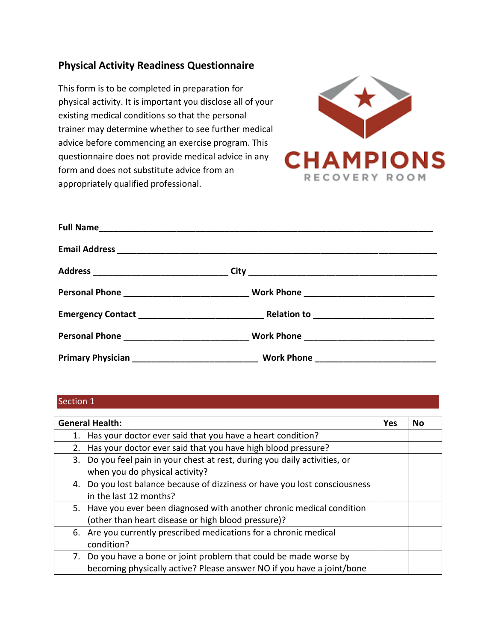# **Physical Activity Readiness Questionnaire**

This form is to be completed in preparation for physical activity. It is important you disclose all of your existing medical conditions so that the personal trainer may determine whether to see further medical advice before commencing an exercise program. This questionnaire does not provide medical advice in any form and does not substitute advice from an appropriately qualified professional.



### Section 1

| <b>General Health:</b>                                                                                                                      |  | No |
|---------------------------------------------------------------------------------------------------------------------------------------------|--|----|
| Has your doctor ever said that you have a heart condition?<br>1.                                                                            |  |    |
| Has your doctor ever said that you have high blood pressure?<br>2.                                                                          |  |    |
| 3. Do you feel pain in your chest at rest, during you daily activities, or<br>when you do physical activity?                                |  |    |
| 4. Do you lost balance because of dizziness or have you lost consciousness<br>in the last 12 months?                                        |  |    |
| 5. Have you ever been diagnosed with another chronic medical condition<br>(other than heart disease or high blood pressure)?                |  |    |
| 6. Are you currently prescribed medications for a chronic medical<br>condition?                                                             |  |    |
| 7. Do you have a bone or joint problem that could be made worse by<br>becoming physically active? Please answer NO if you have a joint/bone |  |    |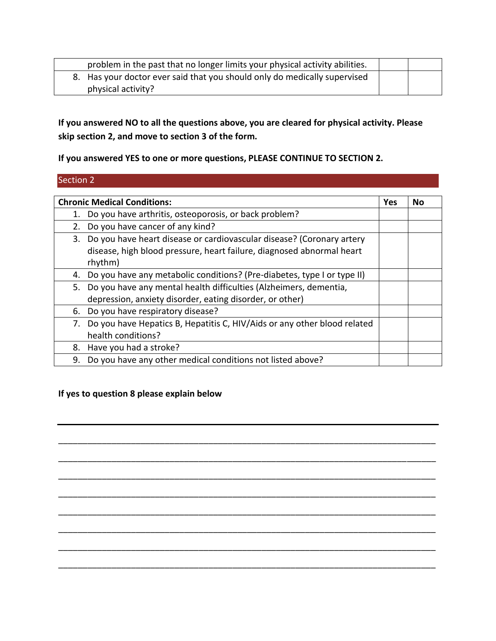| problem in the past that no longer limits your physical activity abilities. |  |
|-----------------------------------------------------------------------------|--|
| 8. Has your doctor ever said that you should only do medically supervised   |  |
| physical activity?                                                          |  |

**If you answered NO to all the questions above, you are cleared for physical activity. Please skip section 2, and move to section 3 of the form.** 

**If you answered YES to one or more questions, PLEASE CONTINUE TO SECTION 2.** 

## Section 2

| <b>Chronic Medical Conditions:</b>                                                                                                                           |  | No |
|--------------------------------------------------------------------------------------------------------------------------------------------------------------|--|----|
| Do you have arthritis, osteoporosis, or back problem?                                                                                                        |  |    |
| Do you have cancer of any kind?<br>2.                                                                                                                        |  |    |
| 3. Do you have heart disease or cardiovascular disease? (Coronary artery<br>disease, high blood pressure, heart failure, diagnosed abnormal heart<br>rhythm) |  |    |
| Do you have any metabolic conditions? (Pre-diabetes, type I or type II)<br>4.                                                                                |  |    |
| 5. Do you have any mental health difficulties (Alzheimers, dementia,<br>depression, anxiety disorder, eating disorder, or other)                             |  |    |
| Do you have respiratory disease?<br>6.                                                                                                                       |  |    |
| 7. Do you have Hepatics B, Hepatitis C, HIV/Aids or any other blood related<br>health conditions?                                                            |  |    |
| Have you had a stroke?<br>8.                                                                                                                                 |  |    |
| Do you have any other medical conditions not listed above?<br>9.                                                                                             |  |    |

\_\_\_\_\_\_\_\_\_\_\_\_\_\_\_\_\_\_\_\_\_\_\_\_\_\_\_\_\_\_\_\_\_\_\_\_\_\_\_\_\_\_\_\_\_\_\_\_\_\_\_\_\_\_\_\_\_\_\_\_\_\_\_\_\_\_\_\_\_\_\_\_\_\_\_\_\_\_

\_\_\_\_\_\_\_\_\_\_\_\_\_\_\_\_\_\_\_\_\_\_\_\_\_\_\_\_\_\_\_\_\_\_\_\_\_\_\_\_\_\_\_\_\_\_\_\_\_\_\_\_\_\_\_\_\_\_\_\_\_\_\_\_\_\_\_\_\_\_\_\_\_\_\_\_\_\_

\_\_\_\_\_\_\_\_\_\_\_\_\_\_\_\_\_\_\_\_\_\_\_\_\_\_\_\_\_\_\_\_\_\_\_\_\_\_\_\_\_\_\_\_\_\_\_\_\_\_\_\_\_\_\_\_\_\_\_\_\_\_\_\_\_\_\_\_\_\_\_\_\_\_\_\_\_\_

\_\_\_\_\_\_\_\_\_\_\_\_\_\_\_\_\_\_\_\_\_\_\_\_\_\_\_\_\_\_\_\_\_\_\_\_\_\_\_\_\_\_\_\_\_\_\_\_\_\_\_\_\_\_\_\_\_\_\_\_\_\_\_\_\_\_\_\_\_\_\_\_\_\_\_\_\_\_

\_\_\_\_\_\_\_\_\_\_\_\_\_\_\_\_\_\_\_\_\_\_\_\_\_\_\_\_\_\_\_\_\_\_\_\_\_\_\_\_\_\_\_\_\_\_\_\_\_\_\_\_\_\_\_\_\_\_\_\_\_\_\_\_\_\_\_\_\_\_\_\_\_\_\_\_\_\_

\_\_\_\_\_\_\_\_\_\_\_\_\_\_\_\_\_\_\_\_\_\_\_\_\_\_\_\_\_\_\_\_\_\_\_\_\_\_\_\_\_\_\_\_\_\_\_\_\_\_\_\_\_\_\_\_\_\_\_\_\_\_\_\_\_\_\_\_\_\_\_\_\_\_\_\_\_\_

\_\_\_\_\_\_\_\_\_\_\_\_\_\_\_\_\_\_\_\_\_\_\_\_\_\_\_\_\_\_\_\_\_\_\_\_\_\_\_\_\_\_\_\_\_\_\_\_\_\_\_\_\_\_\_\_\_\_\_\_\_\_\_\_\_\_\_\_\_\_\_\_\_\_\_\_\_\_

\_\_\_\_\_\_\_\_\_\_\_\_\_\_\_\_\_\_\_\_\_\_\_\_\_\_\_\_\_\_\_\_\_\_\_\_\_\_\_\_\_\_\_\_\_\_\_\_\_\_\_\_\_\_\_\_\_\_\_\_\_\_\_\_\_\_\_\_\_\_\_\_\_\_\_\_\_\_

## **If yes to question 8 please explain below**